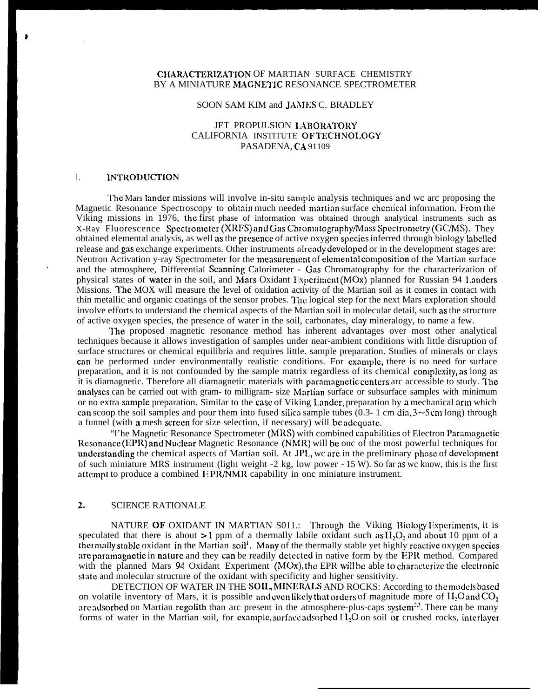# CHARACTERIZATION OF MARTIAN SURFACE CHEMISTRY BY A MINIATURE MACNETIC RESONANCE SPECTROMETER

### SOON SAM KIM and JAMES C. BRADLEY

## JET PROPULSION LABORATORY CALIFORNIA INSTITUTE OF TECIINOI.OGY PASADENA, CA 91109

### 1. **INTRODUCTION**

.

The Mars lander missions will involve in-situ sample analysis techniques and wc arc proposing the Magnetic Resonance Spectroscopy to obtain much needed martian surface chemical information. From the Viking missions in 1976, the first phase of information was obtained through analytical instruments such as X-Ray Fluorescence Spectrometer (XRFS) and Gas Chromatography/Mass Spectrometry (GC/MS). They obtained elemental analysis, as well as the prcscncc of active oxygen spccics inferred through biology labcllcd release and gas exchange experiments. Other instruments already developed or in the development stages are: Neutron Activation y-ray Spectrometer for the mcxsurcmcnt of clcmentalcomposition of the Martian surface and the atmosphere, Differential Scanning Calorimeter - Gas Chromatography for the characterization of physical states of water in the soil, and Mars Oxidant I;xperiment (MOx) planned for Russian 94 Landers Missions. The MOX will measure the level of oxidation activity of the Martian soil as it comes in contact with thin metallic and organic coatings of the sensor probes. The logical step for the next Mars exploration should involve efforts to understand the chemical aspects of the Martian soil in molecular detail, such as the structure of active oxygen species, the presence of water in the soil, carbonates, clay mineralogy, to name a few.

The proposed magnetic resonance method has inherent advantages over most other analytical techniques because it allows investigation of samples under near-ambient conditions with little disruption of surface structures or chemical equilibria and requires little. sample preparation. Studies of minerals or clays can be performed under environmentally realistic conditions. For example, there is no need for surface preparation, and it is not confounded by the sample matrix regardless of its chemical complexity, as long as it is diamagnetic. Therefore all diamagnetic materials with paramagnetic centers arc accessible to study. The analyses can be carried out with gram- to milligram- size Martian surface or subsurface samples with minimum or no extra sample preparation. Similar to the case of Viking I.andcr, preparation by a mechanical arm which can scoop the soil samples and pour them into fused silica sample tubes (0.3- 1 cm dia,  $3 \sim 5$  cm long) through a funnel (with a mesh screen for size selection, if necessary) will be adequate.

"I'he Magnetic Resonance Spectrometer (MRS) with combined capabilities of Electron Paramagnetic Resonance (EPR) and Nuclear Magnetic Resonance (NMR) will be onc of the most powerful techniques for understanding the chemical aspects of Martian soil. At JPL, we are in the preliminary phase of development of such miniature MRS instrument (light weight -2 kg, low power - 15 W). So far as wc know, this is the first attempt to produce a combined EPR/NMR capability in onc miniature instrument.

# 2. SCIENCE RATIONALE

NATURE OF OXIDANT IN MARTIAN S011.: Through the Viking Biology Experiments, it is speculated that there is about  $>1$  ppm of a thermally labile oxidant such as  $H_2O_2$  and about 10 ppm of a thermally stable oxidant in the Martian soil<sup>1</sup>. Many of the thermally stable yet highly reactive oxygen species are paramagnetic in nature and they can be readily detected in native form by the EPR method. Compared with the planned Mars 94 Oxidant Experiment (MOx), the EPR will be able to characterize the electronic state and molecular structure of the oxidant with specificity and higher sensitivity.

DETECTION OF WATER IN THE SOIL, MINERALS AND ROCKS: According to the models based on volatile inventory of Mars, it is possible and even likely that orders of magnitude more of  $H_2O$  and  $CO_2$ are adsorbed on Martian regolith than arc present in the atmosphere-plus-caps system<sup>23</sup>. There can be many forms of water in the Martian soil, for example, surface adsorbed I  $I<sub>2</sub>O$  on soil or crushed rocks, interlayer